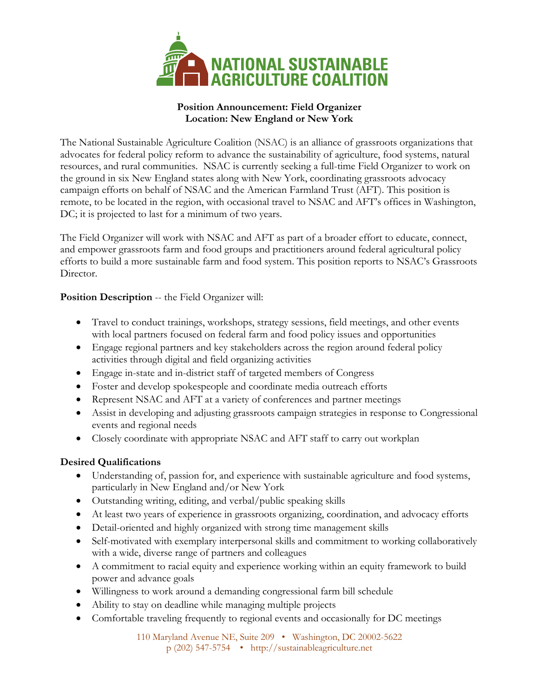

## **Position Announcement: Field Organizer Location: New England or New York**

The National Sustainable Agriculture Coalition (NSAC) is an alliance of grassroots organizations that advocates for federal policy reform to advance the sustainability of agriculture, food systems, natural resources, and rural communities. NSAC is currently seeking a full-time Field Organizer to work on the ground in six New England states along with New York, coordinating grassroots advocacy campaign efforts on behalf of NSAC and the American Farmland Trust (AFT). This position is remote, to be located in the region, with occasional travel to NSAC and AFT's offices in Washington, DC; it is projected to last for a minimum of two years.

The Field Organizer will work with NSAC and AFT as part of a broader effort to educate, connect, and empower grassroots farm and food groups and practitioners around federal agricultural policy efforts to build a more sustainable farm and food system. This position reports to NSAC's Grassroots Director.

## **Position Description** -- the Field Organizer will:

- Travel to conduct trainings, workshops, strategy sessions, field meetings, and other events with local partners focused on federal farm and food policy issues and opportunities
- Engage regional partners and key stakeholders across the region around federal policy activities through digital and field organizing activities
- Engage in-state and in-district staff of targeted members of Congress
- Foster and develop spokespeople and coordinate media outreach efforts
- Represent NSAC and AFT at a variety of conferences and partner meetings
- Assist in developing and adjusting grassroots campaign strategies in response to Congressional events and regional needs
- Closely coordinate with appropriate NSAC and AFT staff to carry out workplan

## **Desired Qualifications**

- Understanding of, passion for, and experience with sustainable agriculture and food systems, particularly in New England and/or New York
- Outstanding writing, editing, and verbal/public speaking skills
- At least two years of experience in grassroots organizing, coordination, and advocacy efforts
- Detail-oriented and highly organized with strong time management skills
- Self-motivated with exemplary interpersonal skills and commitment to working collaboratively with a wide, diverse range of partners and colleagues
- A commitment to racial equity and experience working within an equity framework to build power and advance goals
- Willingness to work around a demanding congressional farm bill schedule
- Ability to stay on deadline while managing multiple projects
- Comfortable traveling frequently to regional events and occasionally for DC meetings